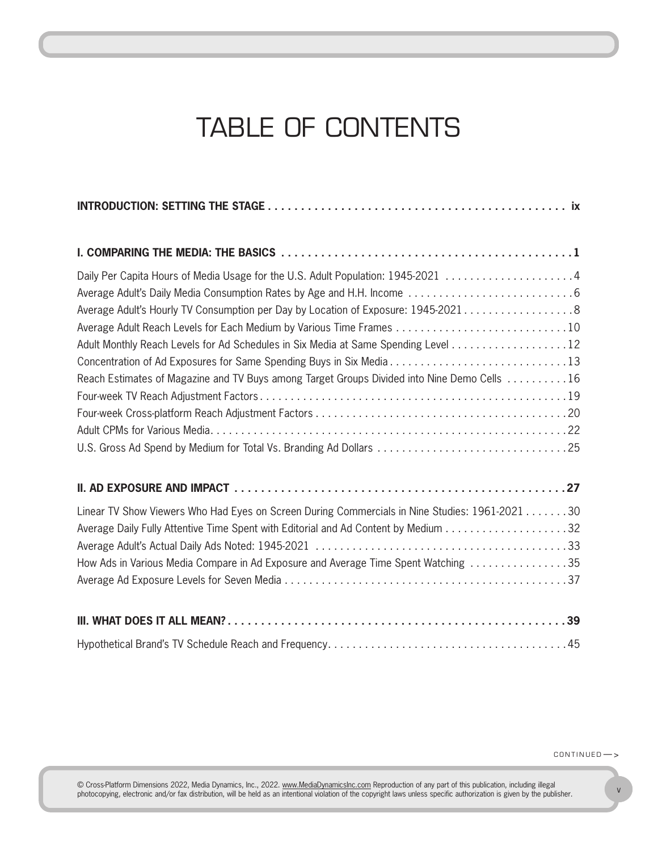## TABLE OF CONTENTS

CHAPTER II — BASICS

| Daily Per Capita Hours of Media Usage for the U.S. Adult Population: 1945-2021 4               |
|------------------------------------------------------------------------------------------------|
|                                                                                                |
| Average Adult's Hourly TV Consumption per Day by Location of Exposure: 1945-2021 8             |
|                                                                                                |
| Adult Monthly Reach Levels for Ad Schedules in Six Media at Same Spending Level 12             |
| Concentration of Ad Exposures for Same Spending Buys in Six Media13                            |
| Reach Estimates of Magazine and TV Buys among Target Groups Divided into Nine Demo Cells 16    |
|                                                                                                |
|                                                                                                |
|                                                                                                |
|                                                                                                |
|                                                                                                |
| Linear TV Show Viewers Who Had Eyes on Screen During Commercials in Nine Studies: 1961-2021 30 |
| Average Daily Fully Attentive Time Spent with Editorial and Ad Content by Medium 32            |
|                                                                                                |
| How Ads in Various Media Compare in Ad Exposure and Average Time Spent Watching 35             |
|                                                                                                |
|                                                                                                |
|                                                                                                |

 $CONTINGED$   $\rightarrow$ 

© Cross-Platform Dimensions 2022, Media Dynamics, Inc., 2022. <u>www.MediaDynamicsInc.com</u> Reproduction of any part of this publication, including illegal<br>photocopying, electronic and/or fax distribution, will be held as an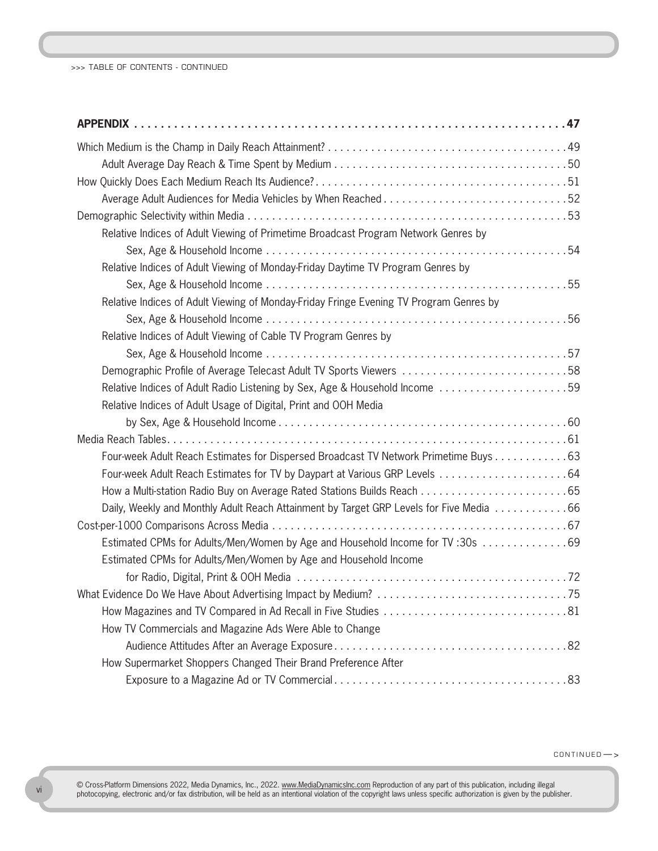>>> TABLE OF CONTENTS - CONTINUED

| Relative Indices of Adult Viewing of Primetime Broadcast Program Network Genres by      |
|-----------------------------------------------------------------------------------------|
|                                                                                         |
| Relative Indices of Adult Viewing of Monday-Friday Daytime TV Program Genres by         |
|                                                                                         |
| Relative Indices of Adult Viewing of Monday-Friday Fringe Evening TV Program Genres by  |
|                                                                                         |
| Relative Indices of Adult Viewing of Cable TV Program Genres by                         |
|                                                                                         |
| Demographic Profile of Average Telecast Adult TV Sports Viewers 58                      |
| Relative Indices of Adult Radio Listening by Sex, Age & Household Income 59             |
| Relative Indices of Adult Usage of Digital, Print and OOH Media                         |
|                                                                                         |
|                                                                                         |
| Four-week Adult Reach Estimates for Dispersed Broadcast TV Network Primetime Buys 63    |
|                                                                                         |
|                                                                                         |
| Daily, Weekly and Monthly Adult Reach Attainment by Target GRP Levels for Five Media 66 |
|                                                                                         |
| Estimated CPMs for Adults/Men/Women by Age and Household Income for TV:30s 69           |
| Estimated CPMs for Adults/Men/Women by Age and Household Income                         |
|                                                                                         |
|                                                                                         |
|                                                                                         |
| How TV Commercials and Magazine Ads Were Able to Change                                 |
|                                                                                         |
| How Supermarket Shoppers Changed Their Brand Preference After                           |
|                                                                                         |

 $CONTINUED$   $\rightarrow$ 

© Cross-Platform Dimensions 2022, Media Dynamics, Inc., 2022. <u>www.MediaDynamicsInc.com</u> Reproduction of any part of this publication, including illegal<br>photocopying, electronic and/or fax distribution, will be held as an